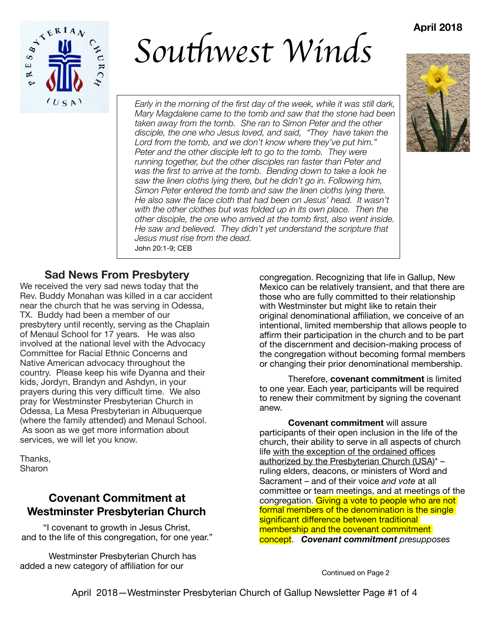## **April 2018**



*Sou*t*west Winds*

*Early in the morning of the first day of the week, while it was still dark, Mary Magdalene came to the tomb and saw that the stone had been taken away from the tomb. She ran to Simon Peter and the other disciple, the one who Jesus loved, and said, "They have taken the Lord from the tomb, and we don't know where they've put him." Peter and the other disciple left to go to the tomb. They were running together, but the other disciples ran faster than Peter and was the first to arrive at the tomb. Bending down to take a look he saw the linen cloths lying there, but he didn't go in. Following him, Simon Peter entered the tomb and saw the linen cloths lying there. He also saw the face cloth that had been on Jesus' head. It wasn't with the other clothes but was folded up in its own place. Then the other disciple, the one who arrived at the tomb first, also went inside. He saw and believed. They didn't yet understand the scripture that Jesus must rise from the dead.*  John 20:1-9; CEB



#### **Sad News From Presbytery**

We received the very sad news today that the Rev. Buddy Monahan was killed in a car accident near the church that he was serving in Odessa, TX. Buddy had been a member of our presbytery until recently, serving as the Chaplain of Menaul School for 17 years. He was also involved at the national level with the Advocacy Committee for Racial Ethnic Concerns and Native American advocacy throughout the country. Please keep his wife Dyanna and their kids, Jordyn, Brandyn and Ashdyn, in your prayers during this very difficult time. We also pray for Westminster Presbyterian Church in Odessa, La Mesa Presbyterian in Albuquerque (where the family attended) and Menaul School. As soon as we get more information about services, we will let you know.

Thanks, Sharon

## **Covenant Commitment at Westminster Presbyterian Church**

"I covenant to growth in Jesus Christ, and to the life of this congregation, for one year."

Westminster Presbyterian Church has added a new category of affiliation for our

congregation. Recognizing that life in Gallup, New Mexico can be relatively transient, and that there are those who are fully committed to their relationship with Westminster but might like to retain their original denominational affiliation, we conceive of an intentional, limited membership that allows people to affirm their participation in the church and to be part of the discernment and decision-making process of the congregation without becoming formal members or changing their prior denominational membership.

Therefore, **covenant commitment** is limited to one year. Each year, participants will be required to renew their commitment by signing the covenant anew.

**Covenant commitment** will assure participants of their open inclusion in the life of the church, their ability to serve in all aspects of church life with the exception of the ordained offices authorized by the Presbyterian Church (USA)\* – ruling elders, deacons, or ministers of Word and Sacrament – and of their voice *and vote* at all committee or team meetings, and at meetings of the congregation. Giving a vote to people who are not formal members of the denomination is the single significant difference between traditional membership and the covenant commitment concept. *Covenant commitment presupposes* 

Continued on Page 2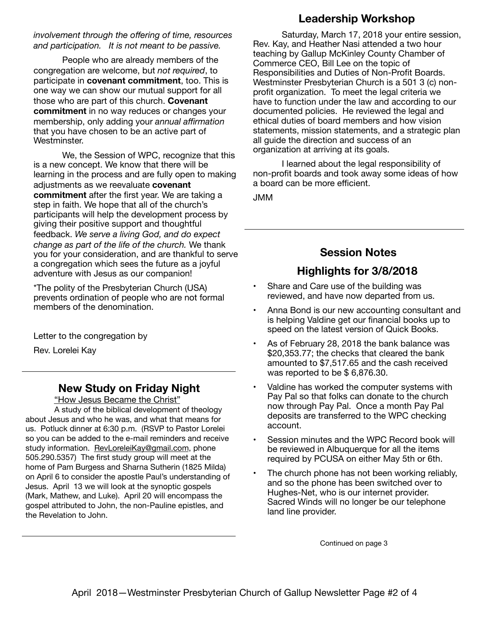*involvement through the offering of time, resources and participation. It is not meant to be passive.*

People who are already members of the congregation are welcome, but *not required*, to participate in **covenant commitment**, too. This is one way we can show our mutual support for all those who are part of this church. **Covenant commitment** in no way reduces or changes your membership, only adding your *annual affirmation* that you have chosen to be an active part of Westminster.

We, the Session of WPC, recognize that this is a new concept. We know that there will be learning in the process and are fully open to making adjustments as we reevaluate **covenant commitment** after the first year. We are taking a step in faith. We hope that all of the church's participants will help the development process by giving their positive support and thoughtful feedback. *We serve a living God, and do expect change as part of the life of the church.* We thank you for your consideration, and are thankful to serve a congregation which sees the future as a joyful adventure with Jesus as our companion!

\*The polity of the Presbyterian Church (USA) prevents ordination of people who are not formal members of the denomination.

Letter to the congregation by

Rev. Lorelei Kay

#### **New Study on Friday Night**

"How Jesus Became the Christ"

A study of the biblical development of theology about Jesus and who he was, and what that means for us. Potluck dinner at 6:30 p.m. (RSVP to Pastor Lorelei so you can be added to the e-mail reminders and receive study information. [RevLoreleiKay@gmail.com](mailto:RevLoreleiKay@gmail.com), phone 505.290.5357) The first study group will meet at the home of Pam Burgess and Sharna Sutherin (1825 Milda) on April 6 to consider the apostle Paul's understanding of Jesus. April 13 we will look at the synoptic gospels (Mark, Mathew, and Luke). April 20 will encompass the gospel attributed to John, the non-Pauline epistles, and the Revelation to John.

## **Leadership Workshop**

Saturday, March 17, 2018 your entire session, Rev. Kay, and Heather Nasi attended a two hour teaching by Gallup McKinley County Chamber of Commerce CEO, Bill Lee on the topic of Responsibilities and Duties of Non-Profit Boards. Westminster Presbyterian Church is a 501 3 (c) nonprofit organization. To meet the legal criteria we have to function under the law and according to our documented policies. He reviewed the legal and ethical duties of board members and how vision statements, mission statements, and a strategic plan all guide the direction and success of an organization at arriving at its goals.

I learned about the legal responsibility of non-profit boards and took away some ideas of how a board can be more efficient.

JMM

# **Session Notes**

# **Highlights for 3/8/2018**

- Share and Care use of the building was reviewed, and have now departed from us.
- Anna Bond is our new accounting consultant and is helping Valdine get our financial books up to speed on the latest version of Quick Books.
- As of February 28, 2018 the bank balance was \$20,353.77; the checks that cleared the bank amounted to \$7,517.65 and the cash received was reported to be \$ 6,876.30.
- Valdine has worked the computer systems with Pay Pal so that folks can donate to the church now through Pay Pal. Once a month Pay Pal deposits are transferred to the WPC checking account.
- Session minutes and the WPC Record book will be reviewed in Albuquerque for all the items required by PCUSA on either May 5th or 6th.
- The church phone has not been working reliably, and so the phone has been switched over to Hughes-Net, who is our internet provider. Sacred Winds will no longer be our telephone land line provider.

Continued on page 3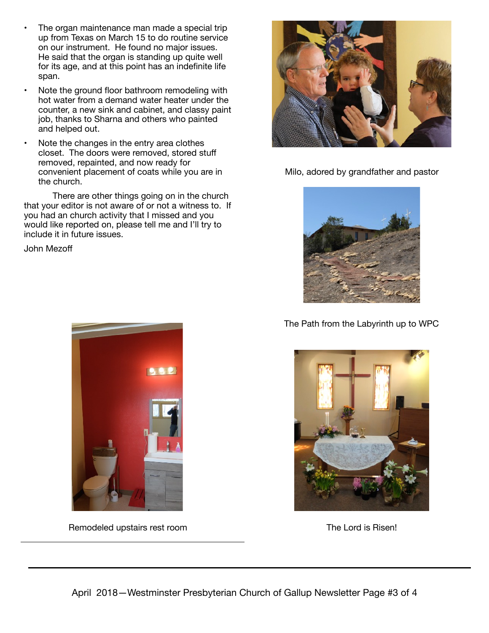- The organ maintenance man made a special trip up from Texas on March 15 to do routine service on our instrument. He found no major issues. He said that the organ is standing up quite well for its age, and at this point has an indefinite life span.
- Note the ground floor bathroom remodeling with hot water from a demand water heater under the counter, a new sink and cabinet, and classy paint job, thanks to Sharna and others who painted and helped out.
- Note the changes in the entry area clothes closet. The doors were removed, stored stuff removed, repainted, and now ready for convenient placement of coats while you are in the church.

There are other things going on in the church that your editor is not aware of or not a witness to. If you had an church activity that I missed and you would like reported on, please tell me and I'll try to include it in future issues.

John Mezoff



Remodeled upstairs rest room The Lord is Risen!



Milo, adored by grandfather and pastor



#### The Path from the Labyrinth up to WPC